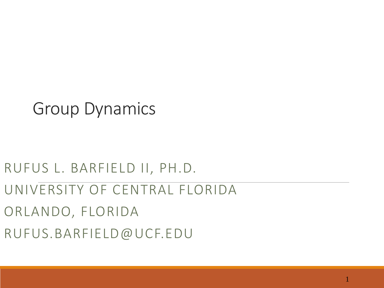### Group Dynamics

### RUFUS L. BARFIELD II, PH.D. UNIVERSITY OF CENTRAL FLORIDA ORLANDO, FLORIDA RUFUS.BARFIELD@UCF.EDU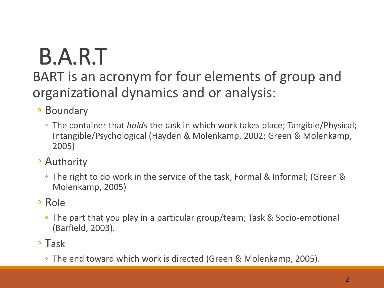# B.A.R.T

### BART is an acronym for four elements of group and organizational dynamics and or analysis:

- Boundary
	- The container that *holds* the task in which work takes place; Tangible/Physical; Intangible/Psychological (Hayden & Molenkamp, 2002; Green & Molenkamp, 2005)
- Authority
	- The right to do work in the service of the task; Formal & Informal; (Green & Molenkamp, 2005)
- Role
	- The part that you play in a particular group/team; Task & Socio-emotional (Barfield, 2003).
- Task
	- The end toward which work is directed (Green & Molenkamp, 2005).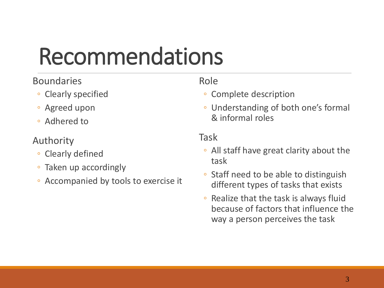### Recommendations

#### Boundaries

- Clearly specified
- Agreed upon
- Adhered to

#### Authority

- Clearly defined
- Taken up accordingly
- Accompanied by tools to exercise it

#### Role

- Complete description
- Understanding of both one's formal & informal roles

#### Task

- All staff have great clarity about the task
- Staff need to be able to distinguish different types of tasks that exists
- Realize that the task is always fluid because of factors that influence the way a person perceives the task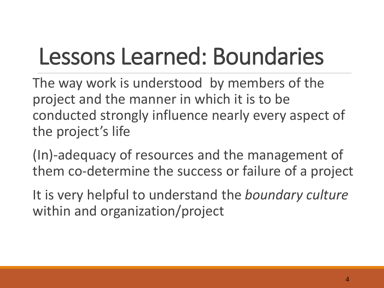## Lessons Learned: Boundaries

The way work is understood by members of the project and the manner in which it is to be conducted strongly influence nearly every aspect of the project's life

(In)-adequacy of resources and the management of them co-determine the success or failure of a project

It is very helpful to understand the *boundary culture* within and organization/project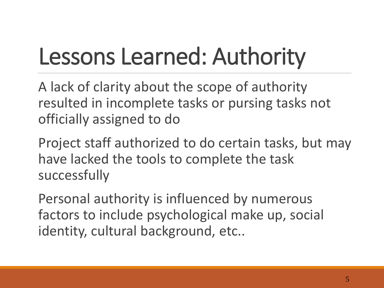## Lessons Learned: Authority

A lack of clarity about the scope of authority resulted in incomplete tasks or pursing tasks not officially assigned to do

Project staff authorized to do certain tasks, but may have lacked the tools to complete the task successfully

Personal authority is influenced by numerous factors to include psychological make up, social identity, cultural background, etc..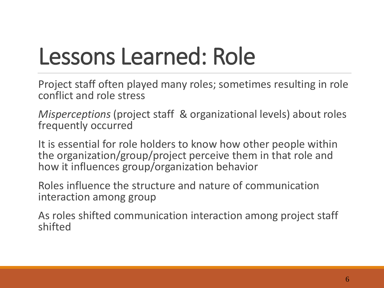### Lessons Learned: Role

Project staff often played many roles; sometimes resulting in role conflict and role stress

*Misperceptions* (project staff & organizational levels) about roles frequently occurred

It is essential for role holders to know how other people within the organization/group/project perceive them in that role and how it influences group/organization behavior

Roles influence the structure and nature of communication interaction among group

As roles shifted communication interaction among project staff shifted